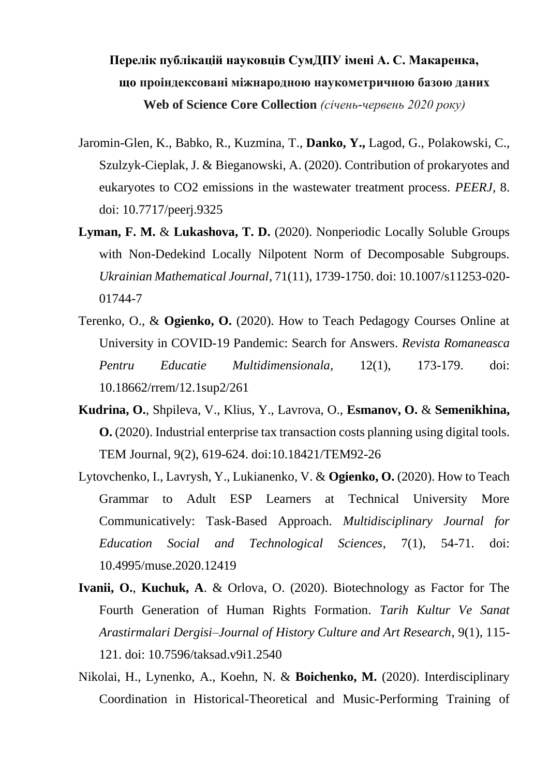## **Перелік публікацій науковців СумДПУ імені А. С. Макаренка, що проіндексовані міжнародною наукометричною базою даних Web of Science Core Collection** *(січень-червень 2020 року)*

- Jaromin-Glen, K., Babko, R., Kuzmina, T., **Danko, Y.,** Lagod, G., Polakowski, C., Szulzyk-Cieplak, J. & Bieganowski, A. (2020). Contribution of prokaryotes and eukaryotes to CO2 emissions in the wastewater treatment process. *PEERJ*, 8. doi: 10.7717/peerj.9325
- **Lyman, F. M.** & **Lukashova, T. D.** (2020). Nonperiodic Locally Soluble Groups with Non-Dedekind Locally Nilpotent Norm of Decomposable Subgroups. *Ukrainian Mathematical Journal*, 71(11), 1739-1750. doi: 10.1007/s11253-020- 01744-7
- Terenko, O., & **Ogienko, O.** (2020). How to Teach Pedagogy Courses Online at University in COVID-19 Pandemic: Search for Answers. *Revista Romaneasca Pentru Educatie Multidimensionala,* 12(1), 173-179. doi: 10.18662/rrem/12.1sup2/261
- **Kudrina, O.**, Shpileva, V., Klius, Y., Lavrova, O., **Esmanov, O.** & **Semenikhina, O.** (2020). Industrial enterprise tax transaction costs planning using digital tools. TEM Journal, 9(2), 619-624. doi:10.18421/TEM92-26
- Lytovchenko, I., Lavrysh, Y., Lukianenko, V. & **Ogienko, O.** (2020). How to Teach Grammar to Adult ESP Learners at Technical University More Communicatively: Task-Based Approach. *Multidisciplinary Journal for Education Social and Technological Sciences*, 7(1), 54-71. doi: 10.4995/muse.2020.12419
- **Ivanii, O.**, **Kuchuk, A**. & Orlova, O. (2020). Biotechnology as Factor for The Fourth Generation of Human Rights Formation. *Tarih Kultur Ve Sanat Arastirmalari Dergisi–Journal of History Culture and Art Research*, 9(1), 115- 121. doi: 10.7596/taksad.v9i1.2540
- Nikolai, H., Lynenko, A., Koehn, N. & **Boichenko, M.** (2020). Interdisciplinary Coordination in Historical-Theoretical and Music-Performing Training of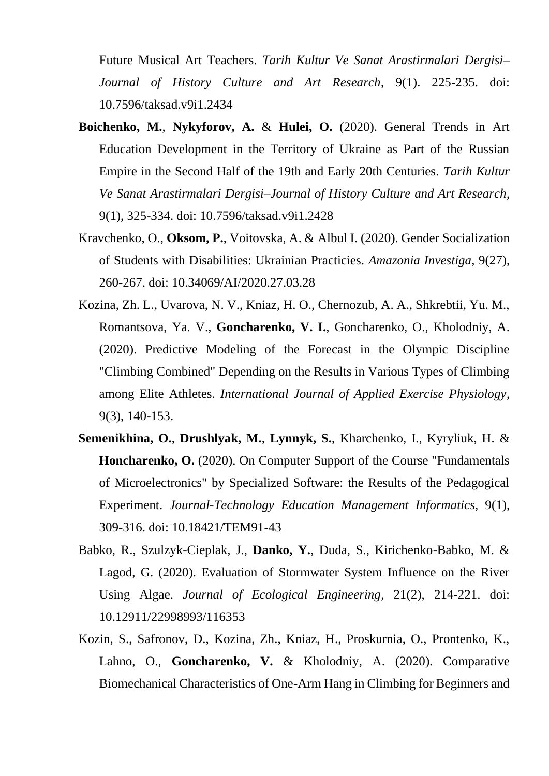Future Musical Art Teachers. *Tarih Kultur Ve Sanat Arastirmalari Dergisi– Journal of History Culture and Art Research*, 9(1). 225-235. doi: 10.7596/taksad.v9i1.2434

- **Boichenko, M.**, **Nykyforov, A.** & **Hulei, O.** (2020). General Trends in Art Education Development in the Territory of Ukraine as Part of the Russian Empire in the Second Half of the 19th and Early 20th Centuries. *Tarih Kultur Ve Sanat Arastirmalari Dergisi–Journal of History Culture and Art Research*, 9(1), 325-334. doi: 10.7596/taksad.v9i1.2428
- Kravchenko, O., **Oksom, P.**, Voitovska, A. & Albul I. (2020). Gender Socialization of Students with Disabilities: Ukrainian Practicies. *Amazonia Investiga*, 9(27), 260-267. doi: 10.34069/AI/2020.27.03.28
- Kozina, Zh. L., Uvarova, N. V., Kniaz, H. O., Chernozub, A. A., Shkrebtii, Yu. M., Romantsova, Ya. V., **Goncharenko, V. I.**, Goncharenko, O., Kholodniy, A. (2020). Predictive Modeling of the Forecast in the Olympic Discipline "Climbing Combined" Depending on the Results in Various Types of Climbing among Elite Athletes. *International Journal of Applied Exercise Physiology*, 9(3), 140-153.
- **Semenikhina, O.**, **Drushlyak, M.**, **Lynnyk, S.**, Kharchenko, I., Kyryliuk, H. & **Honcharenko, O.** (2020). On Computer Support of the Course "Fundamentals of Microelectronics" by Specialized Software: the Results of the Pedagogical Experiment. *Journal-Technology Education Management Informatics*, 9(1), 309-316. doi: 10.18421/TEM91-43
- Babko, R., Szulzyk-Cieplak, J., **Danko, Y.**, Duda, S., Kirichenko-Babko, M. & Lagod, G. (2020). Evaluation of Stormwater System Influence on the River Using Algae. *Journal of Ecological Engineering*, 21(2), 214-221. doi: 10.12911/22998993/116353
- Kozin, S., Safronov, D., Kozina, Zh., Kniaz, H., Proskurnia, O., Prontenko, K., Lahno, O., **Goncharenko, V.** & Kholodniy, A. (2020). Comparative Biomechanical Characteristics of One-Arm Hang in Climbing for Beginners and